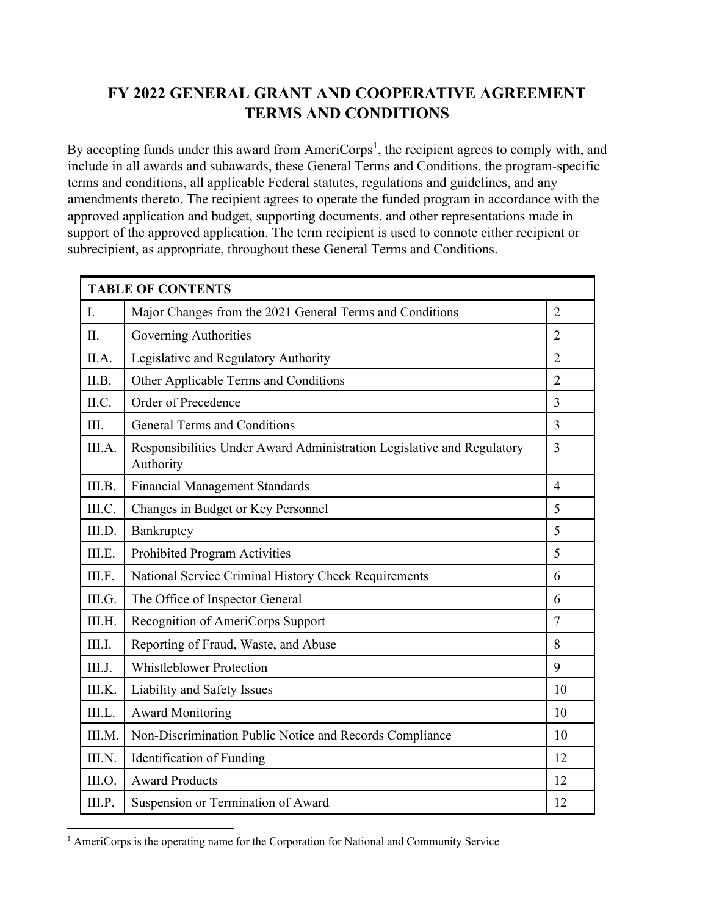# **FY 2022 GENERAL GRANT AND COOPERATIVE AGREEMENT TERMS AND CONDITIONS**

By accepting funds under this award from AmeriCorps<sup>[1](#page-0-0)</sup>, the recipient agrees to comply with, and include in all awards and subawards, these General Terms and Conditions, the program-specific terms and conditions, all applicable Federal statutes, regulations and guidelines, and any amendments thereto. The recipient agrees to operate the funded program in accordance with the approved application and budget, supporting documents, and other representations made in support of the approved application. The term recipient is used to connote either recipient or subrecipient, as appropriate, throughout these General Terms and Conditions.

| <b>TABLE OF CONTENTS</b> |                                                                                     |                |  |
|--------------------------|-------------------------------------------------------------------------------------|----------------|--|
| I.                       | Major Changes from the 2021 General Terms and Conditions                            | $\overline{2}$ |  |
| II.                      | Governing Authorities                                                               | $\overline{2}$ |  |
| II.A.                    | Legislative and Regulatory Authority                                                | $\overline{2}$ |  |
| II.B.                    | Other Applicable Terms and Conditions                                               | $\overline{2}$ |  |
| II.C.                    | Order of Precedence                                                                 | 3              |  |
| III.                     | <b>General Terms and Conditions</b>                                                 | 3              |  |
| III.A.                   | Responsibilities Under Award Administration Legislative and Regulatory<br>Authority | $\overline{3}$ |  |
| III.B.                   | <b>Financial Management Standards</b>                                               | $\overline{4}$ |  |
| III.C.                   | Changes in Budget or Key Personnel                                                  | 5              |  |
| III.D.                   | Bankruptcy                                                                          | 5              |  |
| III.E.                   | Prohibited Program Activities                                                       | 5              |  |
| III.F.                   | National Service Criminal History Check Requirements                                | 6              |  |
| III.G.                   | The Office of Inspector General                                                     | 6              |  |
| III.H.                   | Recognition of AmeriCorps Support                                                   | $\overline{7}$ |  |
| III.I.                   | Reporting of Fraud, Waste, and Abuse                                                | 8              |  |
| III.J.                   | <b>Whistleblower Protection</b>                                                     | 9              |  |
| III.K.                   | Liability and Safety Issues                                                         | 10             |  |
| III.L.                   | <b>Award Monitoring</b>                                                             | 10             |  |
| III.M.                   | Non-Discrimination Public Notice and Records Compliance                             | 10             |  |
| III.N.                   | Identification of Funding                                                           | 12             |  |
| III.O.                   | <b>Award Products</b>                                                               | 12             |  |
| III.P.                   | Suspension or Termination of Award                                                  | 12             |  |

<span id="page-0-0"></span><sup>&</sup>lt;sup>1</sup> AmeriCorps is the operating name for the Corporation for National and Community Service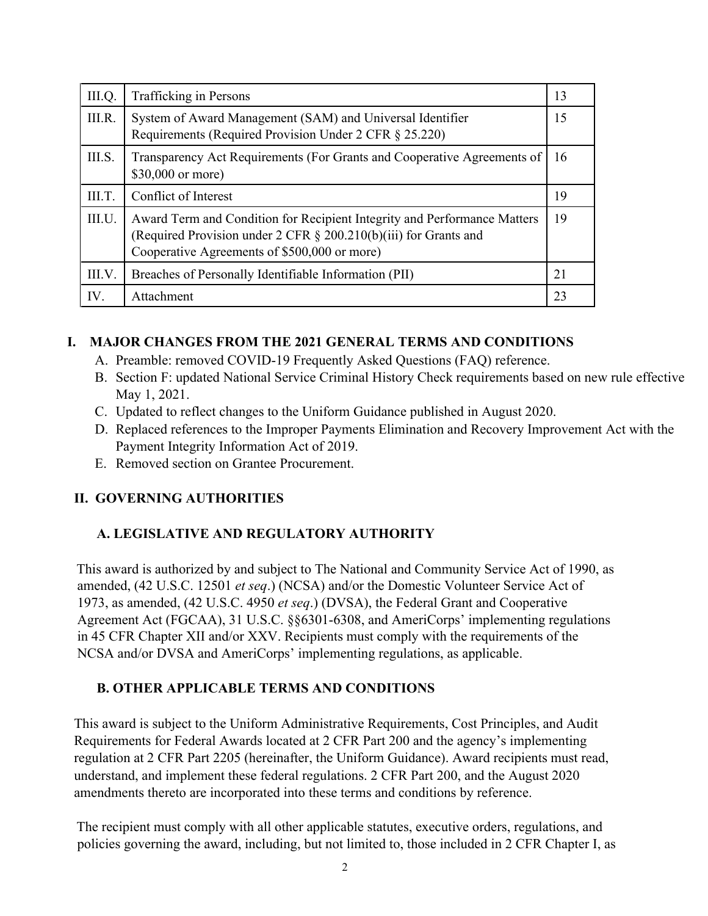| III.Q. | Trafficking in Persons                                                                                                                                                                            | 13 |
|--------|---------------------------------------------------------------------------------------------------------------------------------------------------------------------------------------------------|----|
| III.R. | System of Award Management (SAM) and Universal Identifier<br>Requirements (Required Provision Under 2 CFR § 25.220)                                                                               | 15 |
| III.S. | Transparency Act Requirements (For Grants and Cooperative Agreements of<br>\$30,000 or more)                                                                                                      | 16 |
| III.T. | Conflict of Interest                                                                                                                                                                              | 19 |
| III.U. | Award Term and Condition for Recipient Integrity and Performance Matters<br>(Required Provision under $2$ CFR $\S$ 200.210(b)(iii) for Grants and<br>Cooperative Agreements of \$500,000 or more) | 19 |
| III.V. | Breaches of Personally Identifiable Information (PII)                                                                                                                                             | 21 |
| IV.    | <b>Attachment</b>                                                                                                                                                                                 | 23 |

### **I. MAJOR CHANGES FROM THE 2021 GENERAL TERMS AND CONDITIONS**

- A. Preamble: removed COVID-19 Frequently Asked Questions (FAQ) reference.
- B. Section F: updated National Service Criminal History Check requirements based on new rule effective May 1, 2021.
- C. Updated to reflect changes to the Uniform Guidance published in August 2020.
- D. Replaced references to the Improper Payments Elimination and Recovery Improvement Act with the Payment Integrity Information Act of 2019.
- E. Removed section on Grantee Procurement.

### **II. GOVERNING AUTHORITIES**

## **A. LEGISLATIVE AND REGULATORY AUTHORITY**

This award is authorized by and subject to The National and Community Service Act of 1990, as amended, (42 U.S.C. 12501 *et seq*.) (NCSA) and/or the Domestic Volunteer Service Act of 1973, as amended, (42 U.S.C. 4950 *et seq*.) (DVSA), the Federal Grant and Cooperative Agreement Act (FGCAA), 31 U.S.C. §§6301-6308, and AmeriCorps' implementing regulations in 45 CFR Chapter XII and/or XXV. Recipients must comply with the requirements of the NCSA and/or DVSA and AmeriCorps' implementing regulations, as applicable.

### **B. OTHER APPLICABLE TERMS AND CONDITIONS**

This award is subject to the Uniform Administrative Requirements, Cost Principles, and Audit Requirements for Federal Awards located at 2 CFR Part 200 and the agency's implementing regulation at 2 CFR Part 2205 (hereinafter, the Uniform Guidance). Award recipients must read, understand, and implement these federal regulations. 2 CFR Part 200, and the August 2020 amendments thereto are incorporated into these terms and conditions by reference.

The recipient must comply with all other applicable statutes, executive orders, regulations, and policies governing the award, including, but not limited to, those included in 2 CFR Chapter I, as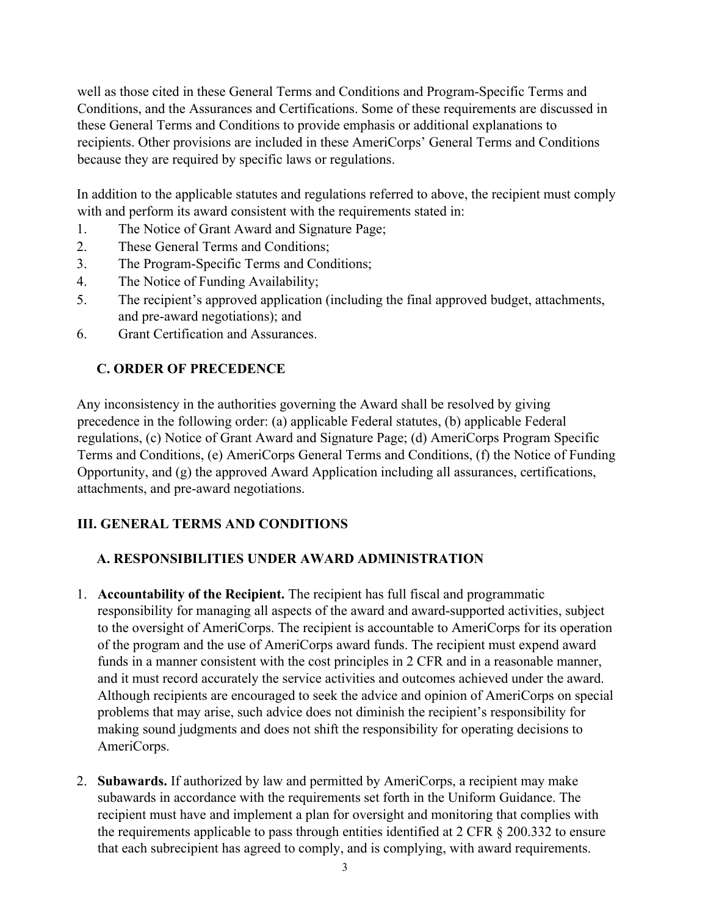well as those cited in these General Terms and Conditions and Program-Specific Terms and Conditions, and the Assurances and Certifications. Some of these requirements are discussed in these General Terms and Conditions to provide emphasis or additional explanations to recipients. Other provisions are included in these AmeriCorps' General Terms and Conditions because they are required by specific laws or regulations.

In addition to the applicable statutes and regulations referred to above, the recipient must comply with and perform its award consistent with the requirements stated in:

- 1. The Notice of Grant Award and Signature Page;
- 2. These General Terms and Conditions;
- 3. The Program-Specific Terms and Conditions;
- 4. The Notice of Funding Availability;
- 5. The recipient's approved application (including the final approved budget, attachments, and pre-award negotiations); and
- 6. Grant Certification and Assurances.

## **C. ORDER OF PRECEDENCE**

Any inconsistency in the authorities governing the Award shall be resolved by giving precedence in the following order: (a) applicable Federal statutes, (b) applicable Federal regulations, (c) Notice of Grant Award and Signature Page; (d) AmeriCorps Program Specific Terms and Conditions, (e) AmeriCorps General Terms and Conditions, (f) the Notice of Funding Opportunity, and (g) the approved Award Application including all assurances, certifications, attachments, and pre-award negotiations.

## **III. GENERAL TERMS AND CONDITIONS**

## **A. RESPONSIBILITIES UNDER AWARD ADMINISTRATION**

- 1. **Accountability of the Recipient.** The recipient has full fiscal and programmatic responsibility for managing all aspects of the award and award-supported activities, subject to the oversight of AmeriCorps. The recipient is accountable to AmeriCorps for its operation of the program and the use of AmeriCorps award funds. The recipient must expend award funds in a manner consistent with the cost principles in 2 CFR and in a reasonable manner, and it must record accurately the service activities and outcomes achieved under the award. Although recipients are encouraged to seek the advice and opinion of AmeriCorps on special problems that may arise, such advice does not diminish the recipient's responsibility for making sound judgments and does not shift the responsibility for operating decisions to AmeriCorps.
- 2. **Subawards.** If authorized by law and permitted by AmeriCorps, a recipient may make subawards in accordance with the requirements set forth in the Uniform Guidance. The recipient must have and implement a plan for oversight and monitoring that complies with the requirements applicable to pass through entities identified at 2 CFR § 200.332 to ensure that each subrecipient has agreed to comply, and is complying, with award requirements.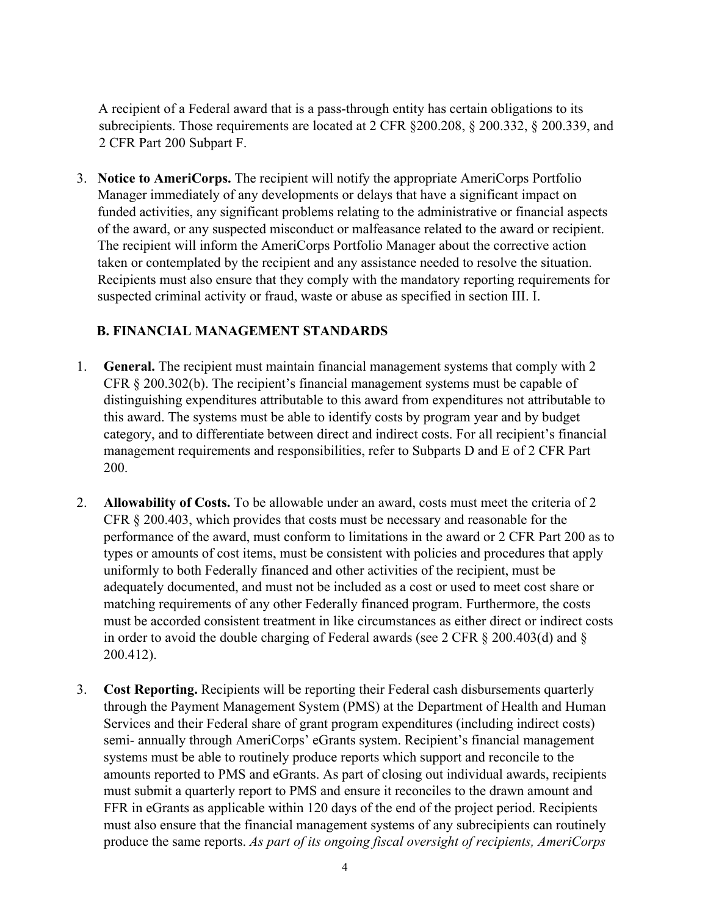A recipient of a Federal award that is a pass-through entity has certain obligations to its subrecipients. Those requirements are located at 2 CFR §200.208, § 200.332, § 200.339, and 2 CFR Part 200 Subpart F.

3. **Notice to AmeriCorps.** The recipient will notify the appropriate AmeriCorps Portfolio Manager immediately of any developments or delays that have a significant impact on funded activities, any significant problems relating to the administrative or financial aspects of the award, or any suspected misconduct or malfeasance related to the award or recipient. The recipient will inform the AmeriCorps Portfolio Manager about the corrective action taken or contemplated by the recipient and any assistance needed to resolve the situation. Recipients must also ensure that they comply with the mandatory reporting requirements for suspected criminal activity or fraud, waste or abuse as specified in section III. I.

#### **B. FINANCIAL MANAGEMENT STANDARDS**

- 1. **General.** The recipient must maintain financial management systems that comply with 2 CFR § 200.302(b). The recipient's financial management systems must be capable of distinguishing expenditures attributable to this award from expenditures not attributable to this award. The systems must be able to identify costs by program year and by budget category, and to differentiate between direct and indirect costs. For all recipient's financial management requirements and responsibilities, refer to Subparts D and E of 2 CFR Part 200.
- 2. **Allowability of Costs.** To be allowable under an award, costs must meet the criteria of 2 CFR § 200.403, which provides that costs must be necessary and reasonable for the performance of the award, must conform to limitations in the award or 2 CFR Part 200 as to types or amounts of cost items, must be consistent with policies and procedures that apply uniformly to both Federally financed and other activities of the recipient, must be adequately documented, and must not be included as a cost or used to meet cost share or matching requirements of any other Federally financed program. Furthermore, the costs must be accorded consistent treatment in like circumstances as either direct or indirect costs in order to avoid the double charging of Federal awards (see 2 CFR § 200.403(d) and § 200.412).
- 3. **Cost Reporting.** Recipients will be reporting their Federal cash disbursements quarterly through the Payment Management System (PMS) at the Department of Health and Human Services and their Federal share of grant program expenditures (including indirect costs) semi- annually through AmeriCorps' eGrants system. Recipient's financial management systems must be able to routinely produce reports which support and reconcile to the amounts reported to PMS and eGrants. As part of closing out individual awards, recipients must submit a quarterly report to PMS and ensure it reconciles to the drawn amount and FFR in eGrants as applicable within 120 days of the end of the project period. Recipients must also ensure that the financial management systems of any subrecipients can routinely produce the same reports. *As part of its ongoing fiscal oversight of recipients, AmeriCorps*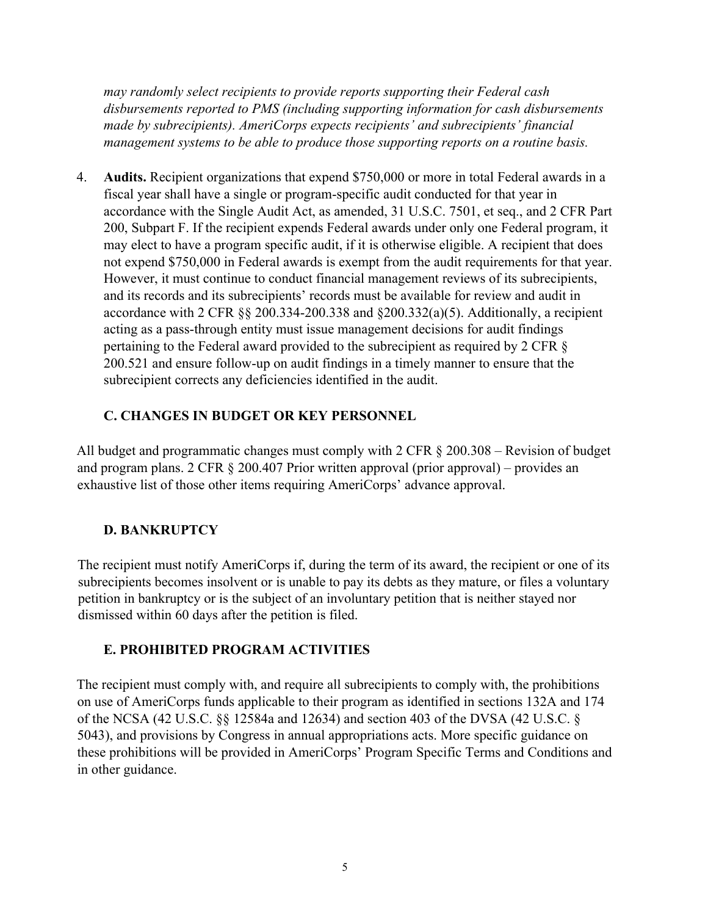*may randomly select recipients to provide reports supporting their Federal cash disbursements reported to PMS (including supporting information for cash disbursements made by subrecipients). AmeriCorps expects recipients' and subrecipients' financial management systems to be able to produce those supporting reports on a routine basis.* 

4. **Audits.** Recipient organizations that expend \$750,000 or more in total Federal awards in a fiscal year shall have a single or program-specific audit conducted for that year in accordance with the Single Audit Act, as amended, 31 U.S.C. 7501, et seq., and 2 CFR Part 200, Subpart F. If the recipient expends Federal awards under only one Federal program, it may elect to have a program specific audit, if it is otherwise eligible. A recipient that does not expend \$750,000 in Federal awards is exempt from the audit requirements for that year. However, it must continue to conduct financial management reviews of its subrecipients, and its records and its subrecipients' records must be available for review and audit in accordance with 2 CFR  $\S$ § 200.334-200.338 and  $\S$ 200.332(a)(5). Additionally, a recipient acting as a pass-through entity must issue management decisions for audit findings pertaining to the Federal award provided to the subrecipient as required by 2 CFR § 200.521 and ensure follow-up on audit findings in a timely manner to ensure that the subrecipient corrects any deficiencies identified in the audit.

#### **C. CHANGES IN BUDGET OR KEY PERSONNEL**

All budget and programmatic changes must comply with 2 CFR § 200.308 – Revision of budget and program plans. 2 CFR § 200.407 Prior written approval (prior approval) – provides an exhaustive list of those other items requiring AmeriCorps' advance approval.

#### **D. BANKRUPTCY**

The recipient must notify AmeriCorps if, during the term of its award, the recipient or one of its subrecipients becomes insolvent or is unable to pay its debts as they mature, or files a voluntary petition in bankruptcy or is the subject of an involuntary petition that is neither stayed nor dismissed within 60 days after the petition is filed.

#### **E. PROHIBITED PROGRAM ACTIVITIES**

The recipient must comply with, and require all subrecipients to comply with, the prohibitions on use of AmeriCorps funds applicable to their program as identified in sections 132A and 174 of the NCSA (42 U.S.C. §§ 12584a and 12634) and section 403 of the DVSA (42 U.S.C. § 5043), and provisions by Congress in annual appropriations acts. More specific guidance on these prohibitions will be provided in AmeriCorps' Program Specific Terms and Conditions and in other guidance.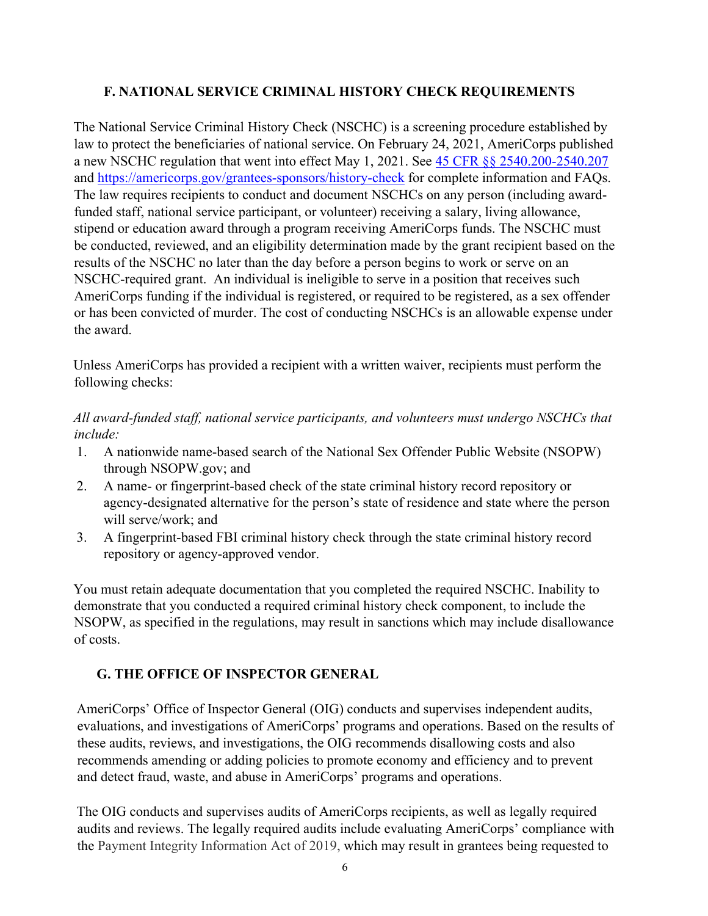#### **F. NATIONAL SERVICE CRIMINAL HISTORY CHECK REQUIREMENTS**

The National Service Criminal History Check (NSCHC) is a screening procedure established by law to protect the beneficiaries of national service. On February 24, 2021, AmeriCorps published a new NSCHC regulation that went into effect May 1, 2021. See [45 CFR §§ 2540.200-2540.207](https://www.ecfr.gov/current/title-45/subtitle-B/chapter-XXV/part-2540/subpart-B) and<https://americorps.gov/grantees-sponsors/history-check> for complete information and FAQs. The law requires recipients to conduct and document NSCHCs on any person (including awardfunded staff, national service participant, or volunteer) receiving a salary, living allowance, stipend or education award through a program receiving AmeriCorps funds. The NSCHC must be conducted, reviewed, and an eligibility determination made by the grant recipient based on the results of the NSCHC no later than the day before a person begins to work or serve on an NSCHC-required grant. An individual is ineligible to serve in a position that receives such AmeriCorps funding if the individual is registered, or required to be registered, as a sex offender or has been convicted of murder. The cost of conducting NSCHCs is an allowable expense under the award.

Unless AmeriCorps has provided a recipient with a written waiver, recipients must perform the following checks:

#### *All award-funded staff, national service participants, and volunteers must undergo NSCHCs that include:*

- 1. A nationwide name-based search of the National Sex Offender Public Website (NSOPW) through NSOPW.gov; and
- 2. A name- or fingerprint-based check of the state criminal history record repository or agency-designated alternative for the person's state of residence and state where the person will serve/work; and
- 3. A fingerprint-based FBI criminal history check through the state criminal history record repository or agency-approved vendor.

You must retain adequate documentation that you completed the required NSCHC. Inability to demonstrate that you conducted a required criminal history check component, to include the NSOPW, as specified in the regulations, may result in sanctions which may include disallowance of costs.

## **G. THE OFFICE OF INSPECTOR GENERAL**

AmeriCorps' Office of Inspector General (OIG) conducts and supervises independent audits, evaluations, and investigations of AmeriCorps' programs and operations. Based on the results of these audits, reviews, and investigations, the OIG recommends disallowing costs and also recommends amending or adding policies to promote economy and efficiency and to prevent and detect fraud, waste, and abuse in AmeriCorps' programs and operations.

The OIG conducts and supervises audits of AmeriCorps recipients, as well as legally required audits and reviews. The legally required audits include evaluating AmeriCorps' compliance with the Payment Integrity Information Act of 2019, which may result in grantees being requested to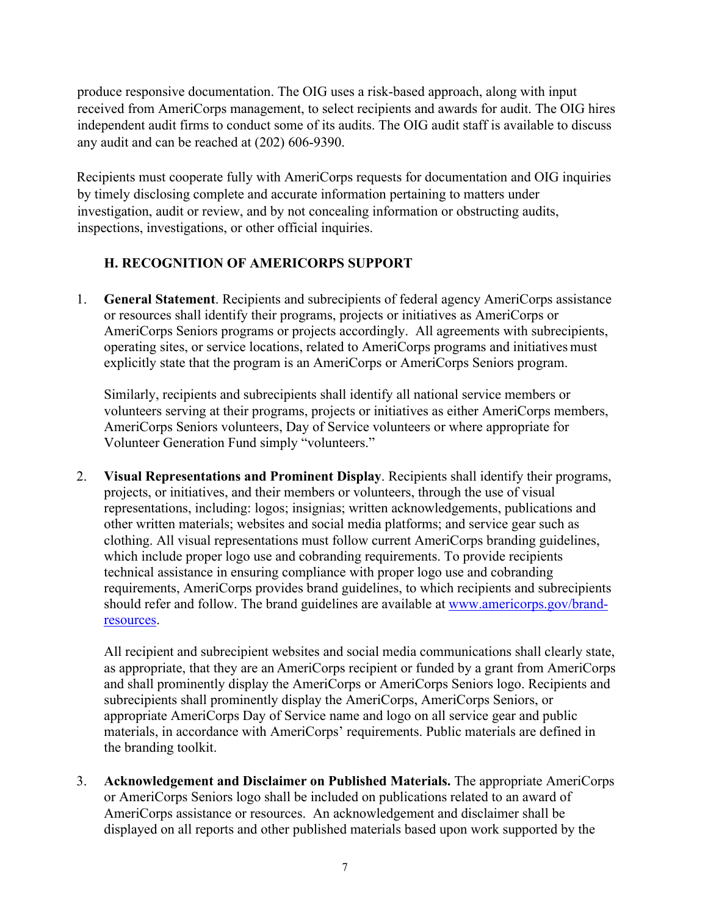produce responsive documentation. The OIG uses a risk-based approach, along with input received from AmeriCorps management, to select recipients and awards for audit. The OIG hires independent audit firms to conduct some of its audits. The OIG audit staff is available to discuss any audit and can be reached at (202) 606-9390.

Recipients must cooperate fully with AmeriCorps requests for documentation and OIG inquiries by timely disclosing complete and accurate information pertaining to matters under investigation, audit or review, and by not concealing information or obstructing audits, inspections, investigations, or other official inquiries.

### **H. RECOGNITION OF AMERICORPS SUPPORT**

1. **General Statement**. Recipients and subrecipients of federal agency AmeriCorps assistance or resources shall identify their programs, projects or initiatives as AmeriCorps or AmeriCorps Seniors programs or projects accordingly. All agreements with subrecipients, operating sites, or service locations, related to AmeriCorps programs and initiatives must explicitly state that the program is an AmeriCorps or AmeriCorps Seniors program.

Similarly, recipients and subrecipients shall identify all national service members or volunteers serving at their programs, projects or initiatives as either AmeriCorps members, AmeriCorps Seniors volunteers, Day of Service volunteers or where appropriate for Volunteer Generation Fund simply "volunteers."

2. **Visual Representations and Prominent Display**. Recipients shall identify their programs, projects, or initiatives, and their members or volunteers, through the use of visual representations, including: logos; insignias; written acknowledgements, publications and other written materials; websites and social media platforms; and service gear such as clothing. All visual representations must follow current AmeriCorps branding guidelines, which include proper logo use and cobranding requirements. To provide recipients technical assistance in ensuring compliance with proper logo use and cobranding requirements, AmeriCorps provides brand guidelines, to which recipients and subrecipients should refer and follow. The brand guidelines are available at [www.americorps.gov/brand](http://www.americorps.gov/brand-resources)[resources.](http://www.americorps.gov/brand-resources)

All recipient and subrecipient websites and social media communications shall clearly state, as appropriate, that they are an AmeriCorps recipient or funded by a grant from AmeriCorps and shall prominently display the AmeriCorps or AmeriCorps Seniors logo. Recipients and subrecipients shall prominently display the AmeriCorps, AmeriCorps Seniors, or appropriate AmeriCorps Day of Service name and logo on all service gear and public materials, in accordance with AmeriCorps' requirements. Public materials are defined in the branding toolkit.

3. **Acknowledgement and Disclaimer on Published Materials.** The appropriate AmeriCorps or AmeriCorps Seniors logo shall be included on publications related to an award of AmeriCorps assistance or resources. An acknowledgement and disclaimer shall be displayed on all reports and other published materials based upon work supported by the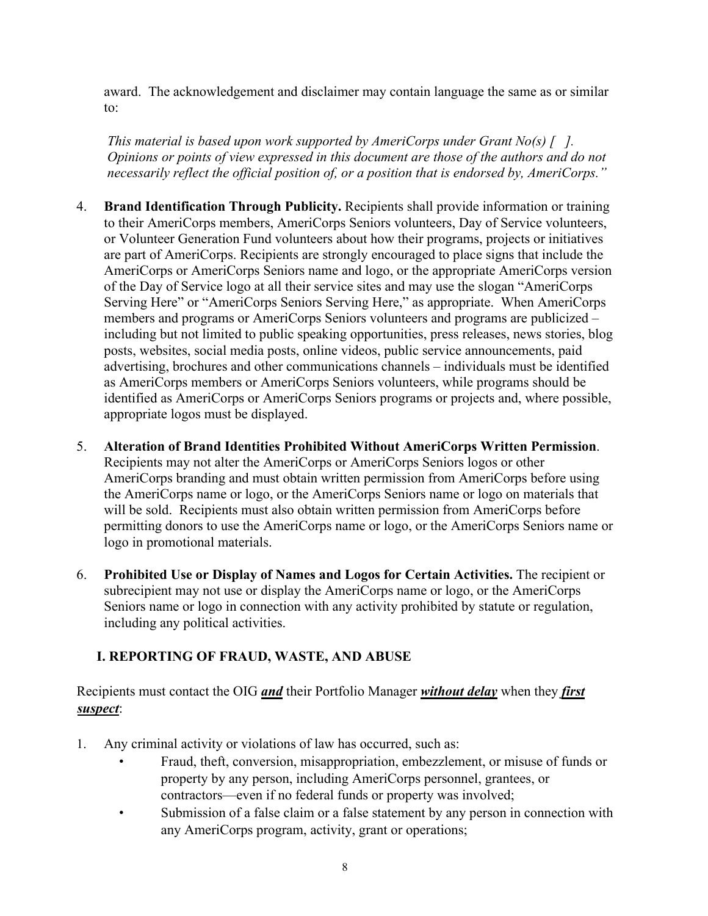award. The acknowledgement and disclaimer may contain language the same as or similar to:

*This material is based upon work supported by AmeriCorps under Grant No(s) [ ]. Opinions or points of view expressed in this document are those of the authors and do not necessarily reflect the official position of, or a position that is endorsed by, AmeriCorps."*

- 4. **Brand Identification Through Publicity.** Recipients shall provide information or training to their AmeriCorps members, AmeriCorps Seniors volunteers, Day of Service volunteers, or Volunteer Generation Fund volunteers about how their programs, projects or initiatives are part of AmeriCorps. Recipients are strongly encouraged to place signs that include the AmeriCorps or AmeriCorps Seniors name and logo, or the appropriate AmeriCorps version of the Day of Service logo at all their service sites and may use the slogan "AmeriCorps Serving Here" or "AmeriCorps Seniors Serving Here," as appropriate. When AmeriCorps members and programs or AmeriCorps Seniors volunteers and programs are publicized – including but not limited to public speaking opportunities, press releases, news stories, blog posts, websites, social media posts, online videos, public service announcements, paid advertising, brochures and other communications channels – individuals must be identified as AmeriCorps members or AmeriCorps Seniors volunteers, while programs should be identified as AmeriCorps or AmeriCorps Seniors programs or projects and, where possible, appropriate logos must be displayed.
- 5. **Alteration of Brand Identities Prohibited Without AmeriCorps Written Permission**. Recipients may not alter the AmeriCorps or AmeriCorps Seniors logos or other AmeriCorps branding and must obtain written permission from AmeriCorps before using the AmeriCorps name or logo, or the AmeriCorps Seniors name or logo on materials that will be sold. Recipients must also obtain written permission from AmeriCorps before permitting donors to use the AmeriCorps name or logo, or the AmeriCorps Seniors name or logo in promotional materials.
- 6. **Prohibited Use or Display of Names and Logos for Certain Activities.** The recipient or subrecipient may not use or display the AmeriCorps name or logo, or the AmeriCorps Seniors name or logo in connection with any activity prohibited by statute or regulation, including any political activities.

#### **I. REPORTING OF FRAUD, WASTE, AND ABUSE**

Recipients must contact the OIG *and* their Portfolio Manager *without delay* when they *first suspect*:

- 1. Any criminal activity or violations of law has occurred, such as:
	- Fraud, theft, conversion, misappropriation, embezzlement, or misuse of funds or property by any person, including AmeriCorps personnel, grantees, or contractors—even if no federal funds or property was involved;
	- Submission of a false claim or a false statement by any person in connection with any AmeriCorps program, activity, grant or operations;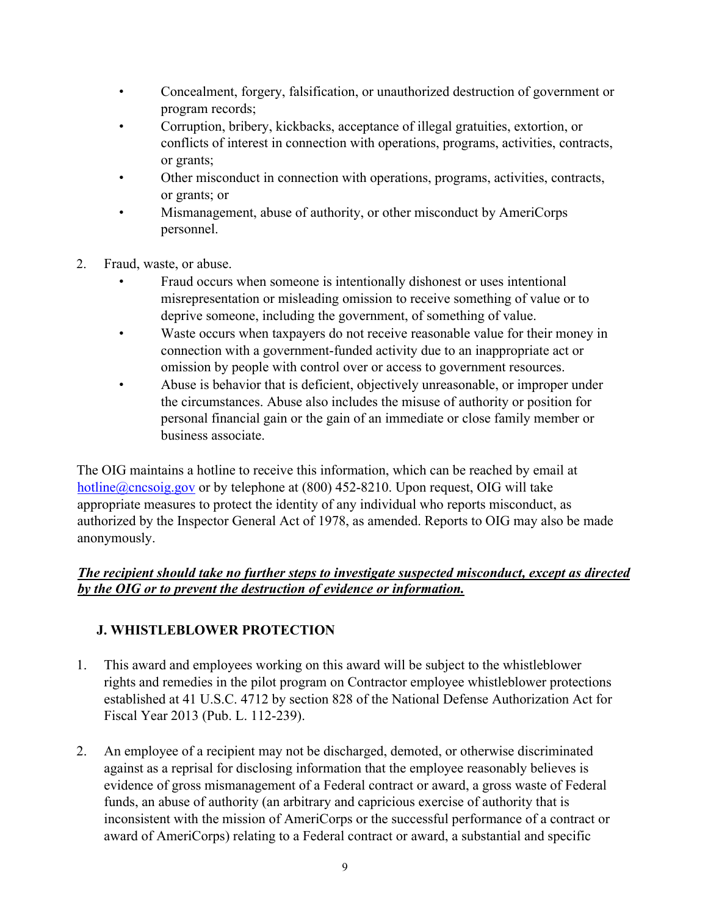- Concealment, forgery, falsification, or unauthorized destruction of government or program records;
- Corruption, bribery, kickbacks, acceptance of illegal gratuities, extortion, or conflicts of interest in connection with operations, programs, activities, contracts, or grants;
- Other misconduct in connection with operations, programs, activities, contracts, or grants; or
- Mismanagement, abuse of authority, or other misconduct by AmeriCorps personnel.
- 2. Fraud, waste, or abuse.
	- Fraud occurs when someone is intentionally dishonest or uses intentional misrepresentation or misleading omission to receive something of value or to deprive someone, including the government, of something of value.
	- Waste occurs when taxpayers do not receive reasonable value for their money in connection with a government-funded activity due to an inappropriate act or omission by people with control over or access to government resources.
	- Abuse is behavior that is deficient, objectively unreasonable, or improper under the circumstances. Abuse also includes the misuse of authority or position for personal financial gain or the gain of an immediate or close family member or business associate.

The OIG maintains a hotline to receive this information, which can be reached by email at hotline@cncsoig.gov or by telephone at (800) 452-8210. Upon request, OIG will take appropriate measures to protect the identity of any individual who reports misconduct, as authorized by the Inspector General Act of 1978, as amended. Reports to OIG may also be made anonymously.

#### *The recipient should take no further steps to investigate suspected misconduct, except as directed by the OIG or to prevent the destruction of evidence or information.*

## **J. WHISTLEBLOWER PROTECTION**

- 1. This award and employees working on this award will be subject to the whistleblower rights and remedies in the pilot program on Contractor employee whistleblower protections established at [41 U.S.C. 4712 by](http://api.fdsys.gov/link?collection=uscode&title=41&year=mostrecent§ion=4712&type=usc&link-type=html) section 828 of the National Defense Authorization Act for Fiscal Year 20[13 \(Pub. L. 112-239\).](http://api.fdsys.gov/link?collection=plaw&congress=112&lawtype=public&lawnum=239&link-type=html)
- 2. An employee of a recipient may not be discharged, demoted, or otherwise discriminated against as a reprisal for disclosing information that the employee reasonably believes is evidence of gross mismanagement of a Federal contract or award, a gross waste of Federal funds, an abuse of authority (an arbitrary and capricious exercise of authority that is inconsistent with the mission of AmeriCorps or the successful performance of a contract or award of AmeriCorps) relating to a Federal contract or award, a substantial and specific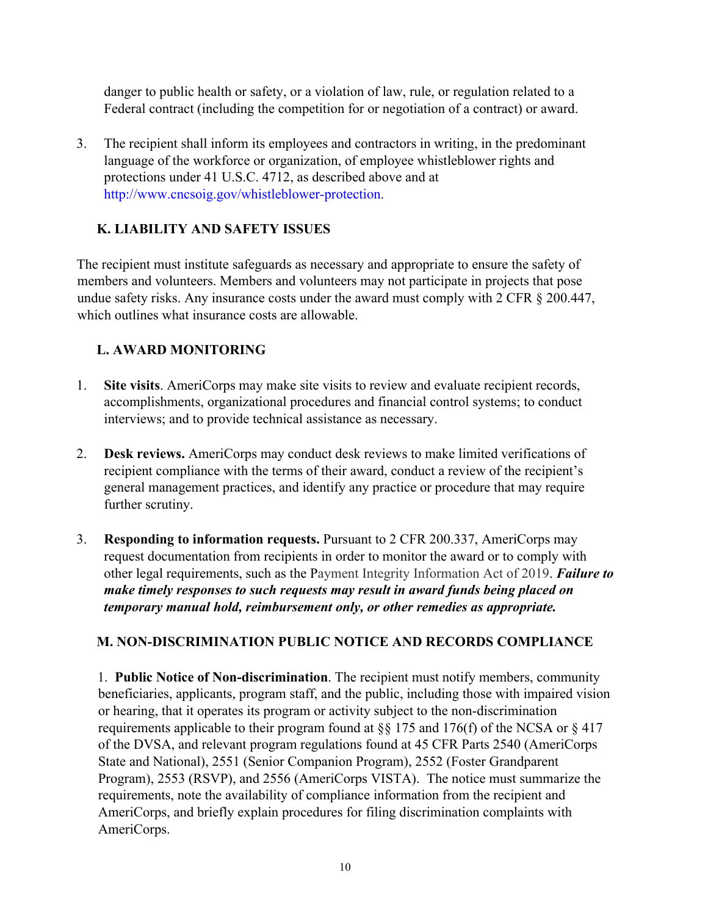danger to public health or safety, or a violation of law, rule, or regulation related to a Federal contract (including the competition for or negotiation of a contract) or award.

3. The recipient shall inform its employees and contractors in writing, in the predominant language of the workforce or organization, of employee whistleblower rights and protections under [41 U](http://api.fdsys.gov/link?collection=uscode&title=41&year=mostrecent§ion=4712&type=usc&link-type=html).S.C. [4712, as](http://api.fdsys.gov/link?collection=uscode&title=41&year=mostrecent§ion=4712&type=usc&link-type=html) described above and at [http://www.cncsoig.gov/whistleblower-protection.](http://www.cncsoig.gov/whistleblower-protection) 

## **K. LIABILITY AND SAFETY ISSUES**

The recipient must institute safeguards as necessary and appropriate to ensure the safety of members and volunteers. Members and volunteers may not participate in projects that pose undue safety risks. Any insurance costs under the award must comply with 2 CFR § 200.447, which outlines what insurance costs are allowable.

### **L. AWARD MONITORING**

- 1. **Site visits**. AmeriCorps may make site visits to review and evaluate recipient records, accomplishments, organizational procedures and financial control systems; to conduct interviews; and to provide technical assistance as necessary.
- 2. **Desk reviews.** AmeriCorps may conduct desk reviews to make limited verifications of recipient compliance with the terms of their award, conduct a review of the recipient's general management practices, and identify any practice or procedure that may require further scrutiny.
- 3. **Responding to information requests.** Pursuant to 2 CFR 200.337, AmeriCorps may request documentation from recipients in order to monitor the award or to comply with other legal requirements, such as the Payment Integrity Information Act of 2019. *Failure to make timely responses to such requests may result in award funds being placed on temporary manual hold, reimbursement only, or other remedies as appropriate.*

### **M. NON-DISCRIMINATION PUBLIC NOTICE AND RECORDS COMPLIANCE**

1. **Public Notice of Non-discrimination**. The recipient must notify members, community beneficiaries, applicants, program staff, and the public, including those with impaired vision or hearing, that it operates its program or activity subject to the non-discrimination requirements applicable to their program found at §§ 175 and 176(f) of the NCSA or § 417 of the DVSA, and relevant program regulations found at 45 CFR Parts 2540 (AmeriCorps State and National), 2551 (Senior Companion Program), 2552 (Foster Grandparent Program), 2553 (RSVP), and 2556 (AmeriCorps VISTA). The notice must summarize the requirements, note the availability of compliance information from the recipient and AmeriCorps, and briefly explain procedures for filing discrimination complaints with AmeriCorps.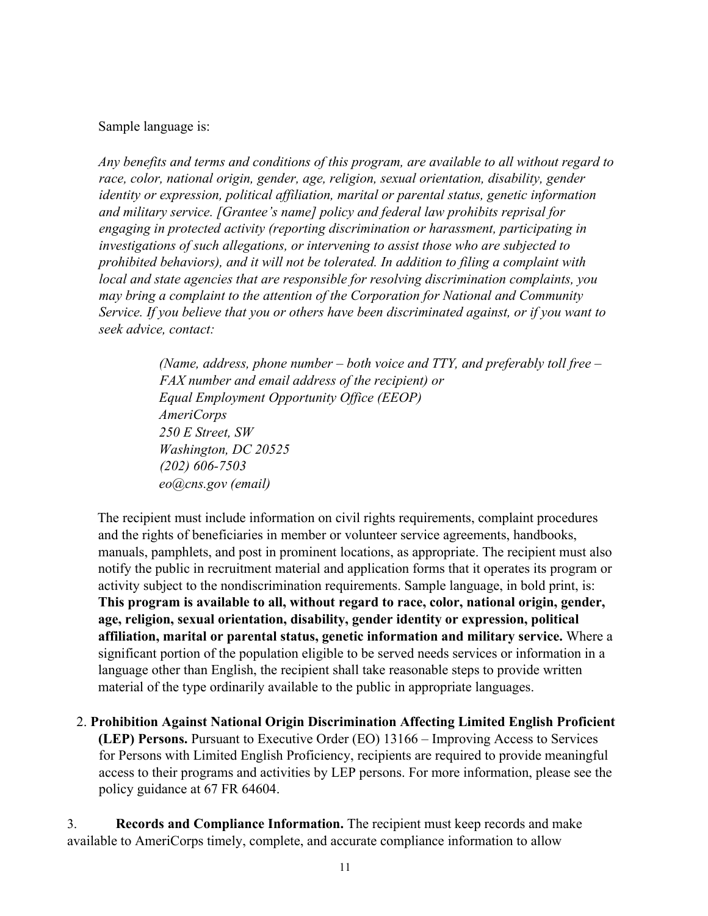#### Sample language is:

*Any benefits and terms and conditions of this program, are available to all without regard to race, color, national origin, gender, age, religion, sexual orientation, disability, gender identity or expression, political affiliation, marital or parental status, genetic information and military service. [Grantee's name] policy and federal law prohibits reprisal for engaging in protected activity (reporting discrimination or harassment, participating in investigations of such allegations, or intervening to assist those who are subjected to prohibited behaviors), and it will not be tolerated. In addition to filing a complaint with local and state agencies that are responsible for resolving discrimination complaints, you may bring a complaint to the attention of the Corporation for National and Community Service. If you believe that you or others have been discriminated against, or if you want to seek advice, contact:* 

> *(Name, address, phone number – both voice and TTY, and preferably toll free – FAX number and email address of the recipient) or Equal Employment Opportunity Office (EEOP) AmeriCorps 250 E Street, SW Washington, DC 20525 (202) 606-7503 eo@cns.gov (email)*

The recipient must include information on civil rights requirements, complaint procedures and the rights of beneficiaries in member or volunteer service agreements, handbooks, manuals, pamphlets, and post in prominent locations, as appropriate. The recipient must also notify the public in recruitment material and application forms that it operates its program or activity subject to the nondiscrimination requirements. Sample language, in bold print, is: **This program is available to all, without regard to race, color, national origin, gender, age, religion, sexual orientation, disability, gender identity or expression, political affiliation, marital or parental status, genetic information and military service.** Where a significant portion of the population eligible to be served needs services or information in a language other than English, the recipient shall take reasonable steps to provide written material of the type ordinarily available to the public in appropriate languages.

2. **Prohibition Against National Origin Discrimination Affecting Limited English Proficient (LEP) Persons.** Pursuant to Executive Order (EO) 13166 – Improving Access to Services for Persons with Limited English Proficiency, recipients are required to provide meaningful access to their programs and activities by LEP persons. For more information, please see the policy guidance at 67 FR 64604.

3. **Records and Compliance Information.** The recipient must keep records and make available to AmeriCorps timely, complete, and accurate compliance information to allow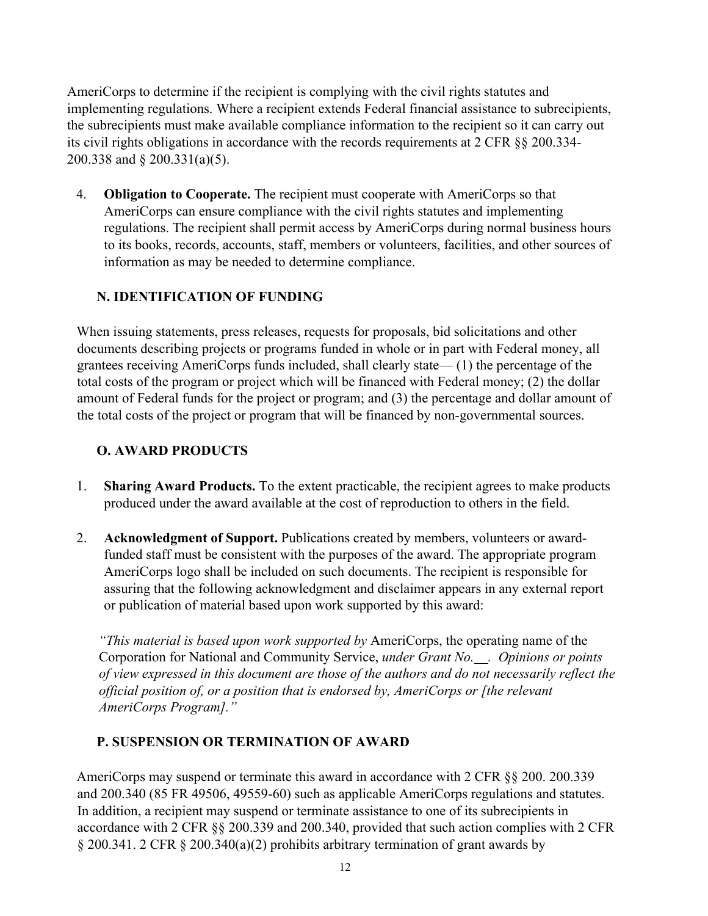AmeriCorps to determine if the recipient is complying with the civil rights statutes and implementing regulations. Where a recipient extends Federal financial assistance to subrecipients, the subrecipients must make available compliance information to the recipient so it can carry out its civil rights obligations in accordance with the records requirements at 2 CFR §§ 200.334- 200.338 and § 200.331(a)(5).

4. **Obligation to Cooperate.** The recipient must cooperate with AmeriCorps so that AmeriCorps can ensure compliance with the civil rights statutes and implementing regulations. The recipient shall permit access by AmeriCorps during normal business hours to its books, records, accounts, staff, members or volunteers, facilities, and other sources of information as may be needed to determine compliance.

#### **N. IDENTIFICATION OF FUNDING**

When issuing statements, press releases, requests for proposals, bid solicitations and other documents describing projects or programs funded in whole or in part with Federal money, all grantees receiving AmeriCorps funds included, shall clearly state— (1) the percentage of the total costs of the program or project which will be financed with Federal money; (2) the dollar amount of Federal funds for the project or program; and (3) the percentage and dollar amount of the total costs of the project or program that will be financed by non-governmental sources.

#### **O. AWARD PRODUCTS**

- 1. **Sharing Award Products.** To the extent practicable, the recipient agrees to make products produced under the award available at the cost of reproduction to others in the field.
- 2. **Acknowledgment of Support.** Publications created by members, volunteers or awardfunded staff must be consistent with the purposes of the award. The appropriate program AmeriCorps logo shall be included on such documents. The recipient is responsible for assuring that the following acknowledgment and disclaimer appears in any external report or publication of material based upon work supported by this award:

*"This material is based upon work supported by* AmeriCorps, the operating name of the Corporation for National and Community Service, *under Grant No. . Opinions or points of view expressed in this document are those of the authors and do not necessarily reflect the official position of, or a position that is endorsed by, AmeriCorps or [the relevant AmeriCorps Program]."* 

#### **P. SUSPENSION OR TERMINATION OF AWARD**

AmeriCorps may suspend or terminate this award in accordance with 2 CFR §§ 200. 200.339 and 200.340 (85 FR 49506, 49559-60) such as applicable AmeriCorps regulations and statutes. In addition, a recipient may suspend or terminate assistance to one of its subrecipients in accordance with 2 CFR §§ 200.339 and 200.340, provided that such action complies with 2 CFR § 200.341. 2 CFR § 200.340(a)(2) prohibits arbitrary termination of grant awards by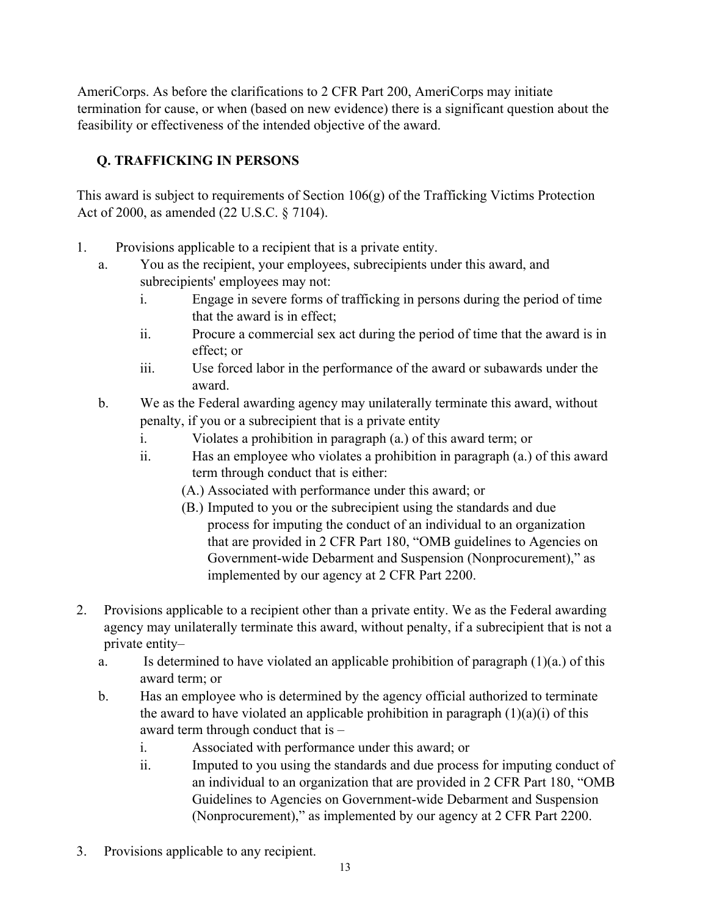AmeriCorps. As before the clarifications to 2 CFR Part 200, AmeriCorps may initiate termination for cause, or when (based on new evidence) there is a significant question about the feasibility or effectiveness of the intended objective of the award.

## **Q. TRAFFICKING IN PERSONS**

This award is subject to requirements of Section 106(g) of the Trafficking Victims Protection Act of 2000, as amended (22 U.S.C. § 7104).

- 1. Provisions applicable to a recipient that is a private entity.
	- a. You as the recipient, your employees, subrecipients under this award, and subrecipients' employees may not:
		- i. Engage in severe forms of trafficking in persons during the period of time that the award is in effect;
		- ii. Procure a commercial sex act during the period of time that the award is in effect; or
		- iii. Use forced labor in the performance of the award or subawards under the award.
	- b. We as the Federal awarding agency may unilaterally terminate this award, without penalty, if you or a subrecipient that is a private entity
		- i. Violates a prohibition in paragraph (a.) of this award term; or
		- ii. Has an employee who violates a prohibition in paragraph (a.) of this award term through conduct that is either:
			- (A.) Associated with performance under this award; or
			- (B.) Imputed to you or the subrecipient using the standards and due process for imputing the conduct of an individual to an organization that are provided in 2 CFR Part 180, "OMB guidelines to Agencies on Government-wide Debarment and Suspension (Nonprocurement)," as implemented by our agency at 2 CFR Part 2200.
- 2. Provisions applicable to a recipient other than a private entity. We as the Federal awarding agency may unilaterally terminate this award, without penalty, if a subrecipient that is not a private entity–
	- a. Is determined to have violated an applicable prohibition of paragraph (1)(a.) of this award term; or
	- b. Has an employee who is determined by the agency official authorized to terminate the award to have violated an applicable prohibition in paragraph  $(1)(a)(i)$  of this award term through conduct that is –
		- i. Associated with performance under this award; or
		- ii. Imputed to you using the standards and due process for imputing conduct of an individual to an organization that are provided in 2 CFR Part 180, "OMB Guidelines to Agencies on Government-wide Debarment and Suspension (Nonprocurement)," as implemented by our agency at 2 CFR Part 2200.
- 3. Provisions applicable to any recipient.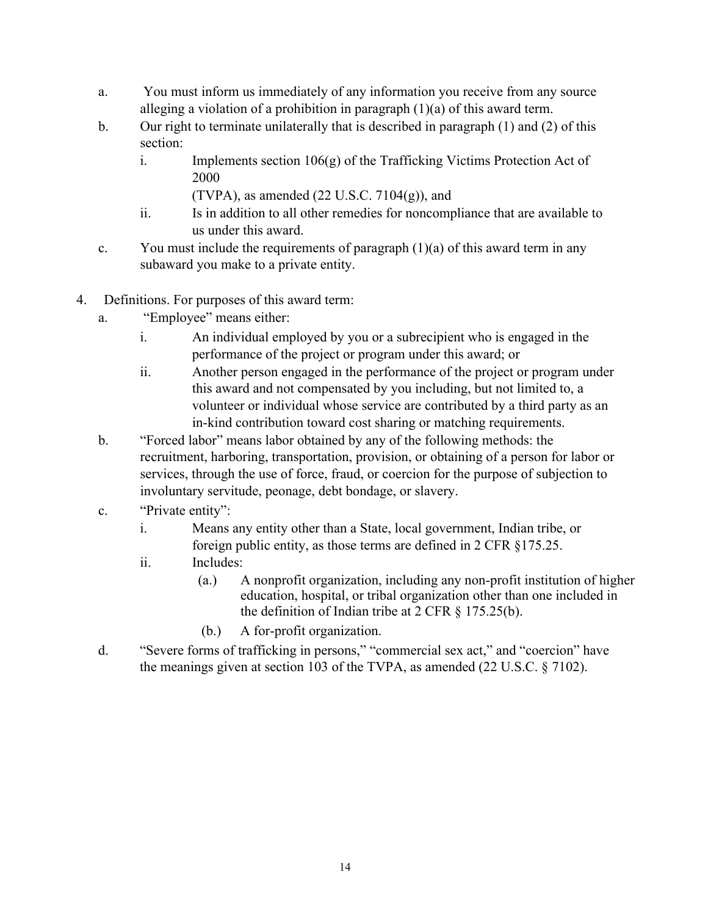- a. You must inform us immediately of any information you receive from any source alleging a violation of a prohibition in paragraph (1)(a) of this award term.
- b. Our right to terminate unilaterally that is described in paragraph (1) and (2) of this section:
	- i. Implements section 106(g) of the Trafficking Victims Protection Act of 2000
		- (TVPA), as amended  $(22 \text{ U.S.C. } 7104(g))$ , and
	- ii. Is in addition to all other remedies for noncompliance that are available to us under this award.
- c. You must include the requirements of paragraph  $(1)(a)$  of this award term in any subaward you make to a private entity.
- 4. Definitions. For purposes of this award term:
	- a. "Employee" means either:
		- i. An individual employed by you or a subrecipient who is engaged in the performance of the project or program under this award; or
		- ii. Another person engaged in the performance of the project or program under this award and not compensated by you including, but not limited to, a volunteer or individual whose service are contributed by a third party as an in-kind contribution toward cost sharing or matching requirements.
	- b. "Forced labor" means labor obtained by any of the following methods: the recruitment, harboring, transportation, provision, or obtaining of a person for labor or services, through the use of force, fraud, or coercion for the purpose of subjection to involuntary servitude, peonage, debt bondage, or slavery.
	- c. "Private entity":
		- i. Means any entity other than a State, local government, Indian tribe, or foreign public entity, as those terms are defined in 2 CFR §175.25.
		- ii. Includes:
			- (a.) A nonprofit organization, including any non-profit institution of higher education, hospital, or tribal organization other than one included in the definition of Indian tribe at 2 CFR § 175.25(b).
			- (b.) A for-profit organization.
	- d. "Severe forms of trafficking in persons," "commercial sex act," and "coercion" have the meanings given at section 103 of the TVPA, as amended (22 U.S.C. § 7102).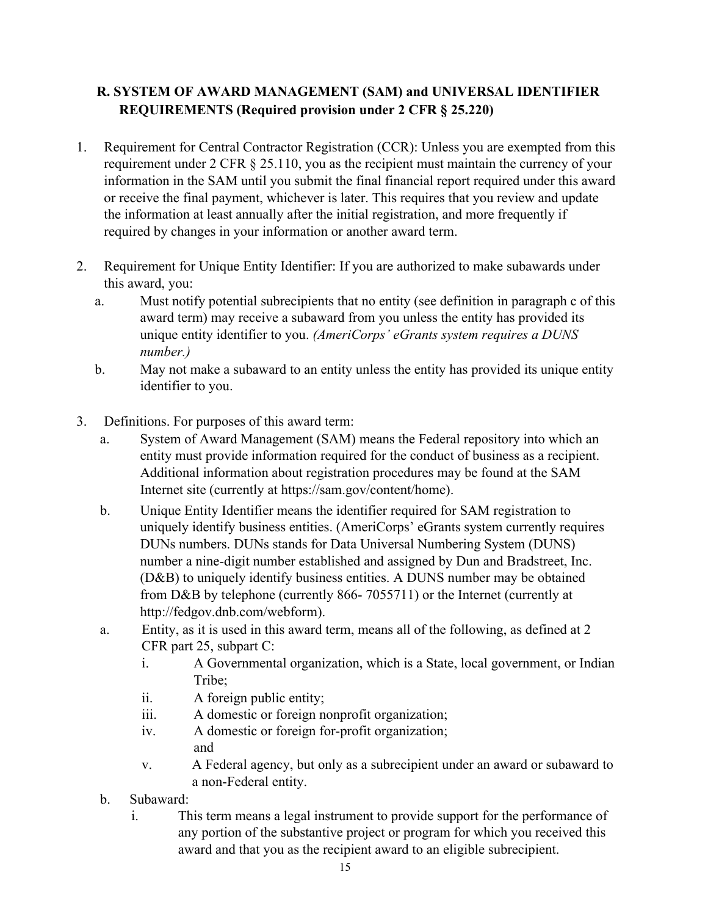## **R. SYSTEM OF AWARD MANAGEMENT (SAM) and UNIVERSAL IDENTIFIER REQUIREMENTS (Required provision under 2 CFR § 25.220)**

- 1. Requirement for Central Contractor Registration (CCR): Unless you are exempted from this requirement under 2 CFR § 25.110, you as the recipient must maintain the currency of your information in the SAM until you submit the final financial report required under this award or receive the final payment, whichever is later. This requires that you review and update the information at least annually after the initial registration, and more frequently if required by changes in your information or another award term.
- 2. Requirement for Unique Entity Identifier: If you are authorized to make subawards under this award, you:
	- a. Must notify potential subrecipients that no entity (see definition in paragraph c of this award term) may receive a subaward from you unless the entity has provided its unique entity identifier to you. *(AmeriCorps' eGrants system requires a DUNS number.)*
	- b. May not make a subaward to an entity unless the entity has provided its unique entity identifier to you.
- 3. Definitions. For purposes of this award term:
	- a. System of Award Management (SAM) means the Federal repository into which an entity must provide information required for the conduct of business as a recipient. Additional information about registration procedures may be found at the SAM Internet site (currently at https://sam.gov/content/hom[e\).](http://www.sam.gov/portal/public/SAM/))
	- b. Unique Entity Identifier means the identifier required for SAM registration to uniquely identify business entities. (AmeriCorps' eGrants system currently requires DUNs numbers. DUNs stands for Data Universal Numbering System (DUNS) number a nine-digit number established and assigned by Dun and Bradstreet, Inc. (D&B) to uniquely identify business entities. A DUNS number may be obtained from D&B by telephone (currently 866- 7055711) or the Internet (currently a[t](http://fedgov.dnb.com/webform) [http://fedgov.dnb.com/webform\).](http://fedgov.dnb.com/webform)
	- a. Entity, as it is used in this award term, means all of the following, as defined at 2 CFR part 25, subpart C:
		- i. A Governmental organization, which is a State, local government, or Indian Tribe;
		- ii. A foreign public entity;
		- iii. A domestic or foreign nonprofit organization;
		- iv. A domestic or foreign for-profit organization; and
		- v. A Federal agency, but only as a subrecipient under an award or subaward to a non-Federal entity.
	- b. Subaward:
		- i. This term means a legal instrument to provide support for the performance of any portion of the substantive project or program for which you received this award and that you as the recipient award to an eligible subrecipient.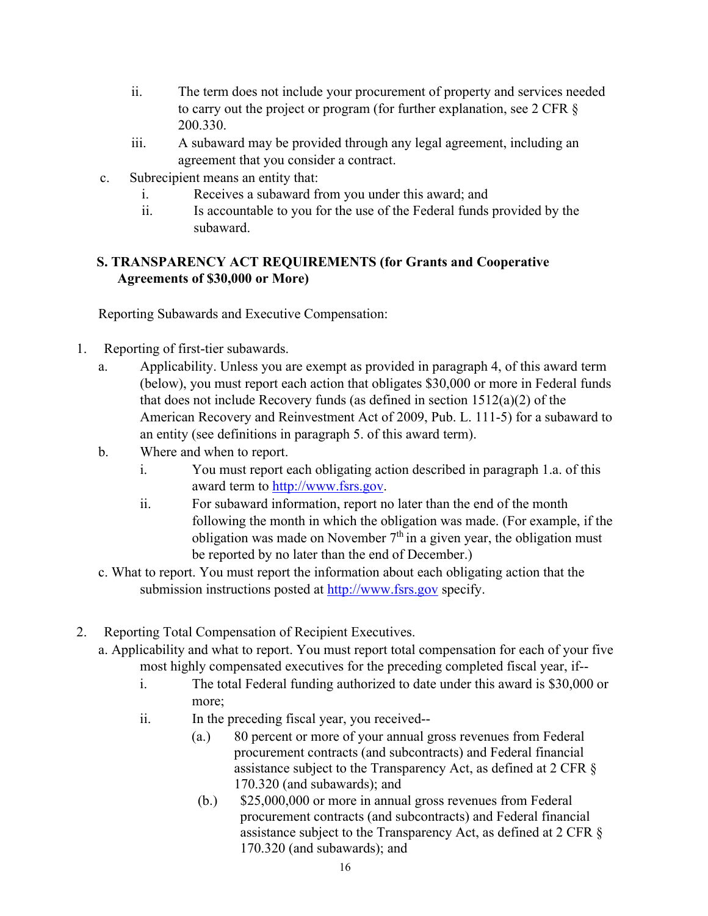- ii. The term does not include your procurement of property and services needed to carry out the project or program (for further explanation, see 2 CFR § 200.330.
- iii. A subaward may be provided through any legal agreement, including an agreement that you consider a contract.
- c. Subrecipient means an entity that:
	- i. Receives a subaward from you under this award; and
	- ii. Is accountable to you for the use of the Federal funds provided by the subaward.

## **S. TRANSPARENCY ACT REQUIREMENTS (for Grants and Cooperative Agreements of \$30,000 or More)**

Reporting Subawards and Executive Compensation:

- 1. Reporting of first-tier subawards.
	- a. Applicability. Unless you are exempt as provided in paragraph 4, of this award term (below), you must report each action that obligates \$30,000 or more in Federal funds that does not include Recovery funds (as defined in section 1512(a)(2) of the American Recovery and Reinvestment Act of 2009, Pub. L. 111-5) for a subaward to an entity (see definitions in paragraph 5. of this award term).
	- b. Where and when to report.
		- i. You must report each obligating action described in paragraph 1.a. of this award term t[o](http://www.fsrs.gov/) [http://www.fsrs.gov.](http://www.fsrs.gov/)
		- ii. For subaward information, report no later than the end of the month following the month in which the obligation was made. (For example, if the obligation was made on November  $7<sup>th</sup>$  in a given year, the obligation must be reported by no later than the end of December.)
	- c. What to report. You must report the information about each obligating action that the submission instructions posted a[t](http://www.fsrs.gov/) [http://www.fsrs.gov](http://www.fsrs.gov/) [sp](http://www.fsrs.gov/)ecify.
- 2. Reporting Total Compensation of Recipient Executives.
	- a. Applicability and what to report. You must report total compensation for each of your five most highly compensated executives for the preceding completed fiscal year, if-
		- i. The total Federal funding authorized to date under this award is \$30,000 or more;
		- ii. In the preceding fiscal year, you received--
			- (a.) 80 percent or more of your annual gross revenues from Federal procurement contracts (and subcontracts) and Federal financial assistance subject to the Transparency Act, as defined at 2 CFR § 170.320 (and subawards); and
			- (b.) \$25,000,000 or more in annual gross revenues from Federal procurement contracts (and subcontracts) and Federal financial assistance subject to the Transparency Act, as defined at 2 CFR § 170.320 (and subawards); and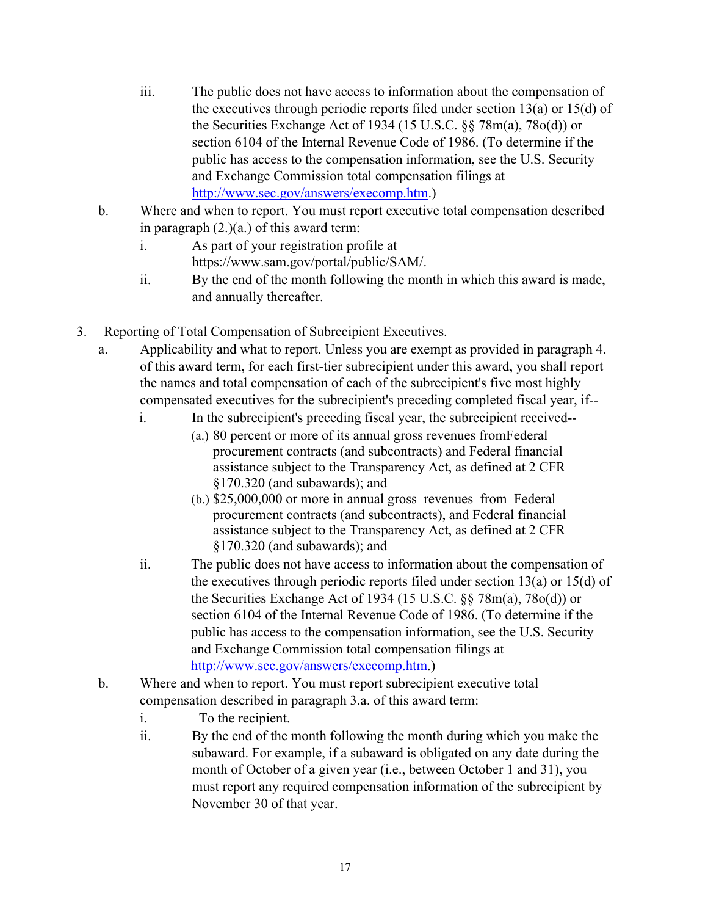- iii. The public does not have access to information about the compensation of the executives through periodic reports filed under section 13(a) or 15(d) of the Securities Exchange Act of 1934 (15 U.S.C. §§ 78m(a), 78o(d)) or section 6104 of the Internal Revenue Code of 1986. (To determine if the public has access to the compensation information, see the U.S. Security and Exchange Commission total compensation filings at [http://www.sec.gov/answers/execomp.htm.\)](http://www.sec.gov/answers/execomp.htm)
- b. Where and when to report. You must report executive total compensation described in paragraph (2.)(a.) of this award term:
	- i. As part of your registration profile at h[ttps://www.sam.gov/portal/public/SAM/.](http://www.sam.gov/portal/public/SAM/)
	- ii. By the end of the month following the month in which this award is made, and annually thereafter.
- 3. Reporting of Total Compensation of Subrecipient Executives.
	- a. Applicability and what to report. Unless you are exempt as provided in paragraph 4. of this award term, for each first-tier subrecipient under this award, you shall report the names and total compensation of each of the subrecipient's five most highly compensated executives for the subrecipient's preceding completed fiscal year, if-
		- i. In the subrecipient's preceding fiscal year, the subrecipient received--
			- (a.) 80 percent or more of its annual gross revenues fromFederal procurement contracts (and subcontracts) and Federal financial assistance subject to the Transparency Act, as defined at 2 CFR §170.320 (and subawards); and
			- (b.) \$25,000,000 or more in annual gross revenues from Federal procurement contracts (and subcontracts), and Federal financial assistance subject to the Transparency Act, as defined at 2 CFR §170.320 (and subawards); and
		- ii. The public does not have access to information about the compensation of the executives through periodic reports filed under section 13(a) or 15(d) of the Securities Exchange Act of 1934 (15 U.S.C. §§ 78m(a), 78o(d)) or section 6104 of the Internal Revenue Code of 1986. (To determine if the public has access to the compensation information, see the U.S. Security and Exchange Commission total compensation filings a[t](http://www.sec.gov/answers/execomp.htm.)) [http://www.sec.gov/answers/execomp.htm.\)](http://www.sec.gov/answers/execomp.htm.))
	- b. Where and when to report. You must report subrecipient executive total compensation described in paragraph 3.a. of this award term:
		- i. To the recipient.
		- ii. By the end of the month following the month during which you make the subaward. For example, if a subaward is obligated on any date during the month of October of a given year (i.e., between October 1 and 31), you must report any required compensation information of the subrecipient by November 30 of that year.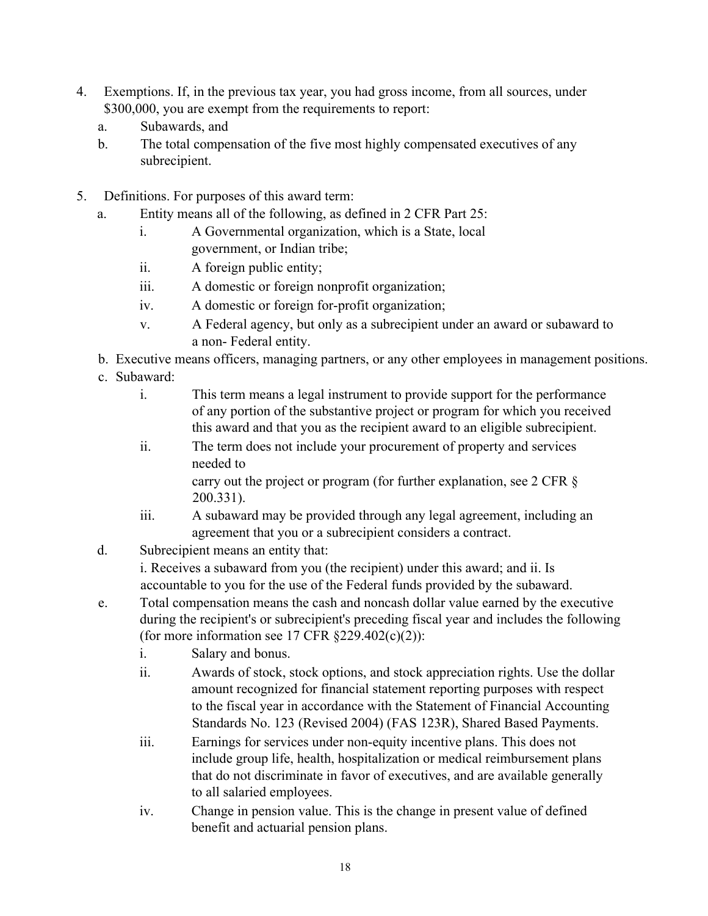- 4. Exemptions. If, in the previous tax year, you had gross income, from all sources, under \$300,000, you are exempt from the requirements to report:
	- a. Subawards, and
	- b. The total compensation of the five most highly compensated executives of any subrecipient.
- 5. Definitions. For purposes of this award term:
	- a. Entity means all of the following, as defined in 2 CFR Part 25:
		- i. A Governmental organization, which is a State, local government, or Indian tribe;
		- ii. A foreign public entity;
		- iii. A domestic or foreign nonprofit organization;
		- iv. A domestic or foreign for-profit organization;
		- v. A Federal agency, but only as a subrecipient under an award or subaward to a non- Federal entity.
	- b. Executive means officers, managing partners, or any other employees in management positions.
	- c. Subaward:
		- i. This term means a legal instrument to provide support for the performance of any portion of the substantive project or program for which you received this award and that you as the recipient award to an eligible subrecipient.
		- ii. The term does not include your procurement of property and services needed to carry out the project or program (for further explanation, see 2 CFR §
			- 200.331).
		- iii. A subaward may be provided through any legal agreement, including an agreement that you or a subrecipient considers a contract.
	- d. Subrecipient means an entity that:

i. Receives a subaward from you (the recipient) under this award; and ii. Is accountable to you for the use of the Federal funds provided by the subaward.

- e. Total compensation means the cash and noncash dollar value earned by the executive during the recipient's or subrecipient's preceding fiscal year and includes the following (for more information see 17 CFR  $\S229.402(c)(2)$ ):
	- i. Salary and bonus.
	- ii. Awards of stock, stock options, and stock appreciation rights. Use the dollar amount recognized for financial statement reporting purposes with respect to the fiscal year in accordance with the Statement of Financial Accounting Standards No. 123 (Revised 2004) (FAS 123R), Shared Based Payments.
	- iii. Earnings for services under non-equity incentive plans. This does not include group life, health, hospitalization or medical reimbursement plans that do not discriminate in favor of executives, and are available generally to all salaried employees.
	- iv. Change in pension value. This is the change in present value of defined benefit and actuarial pension plans.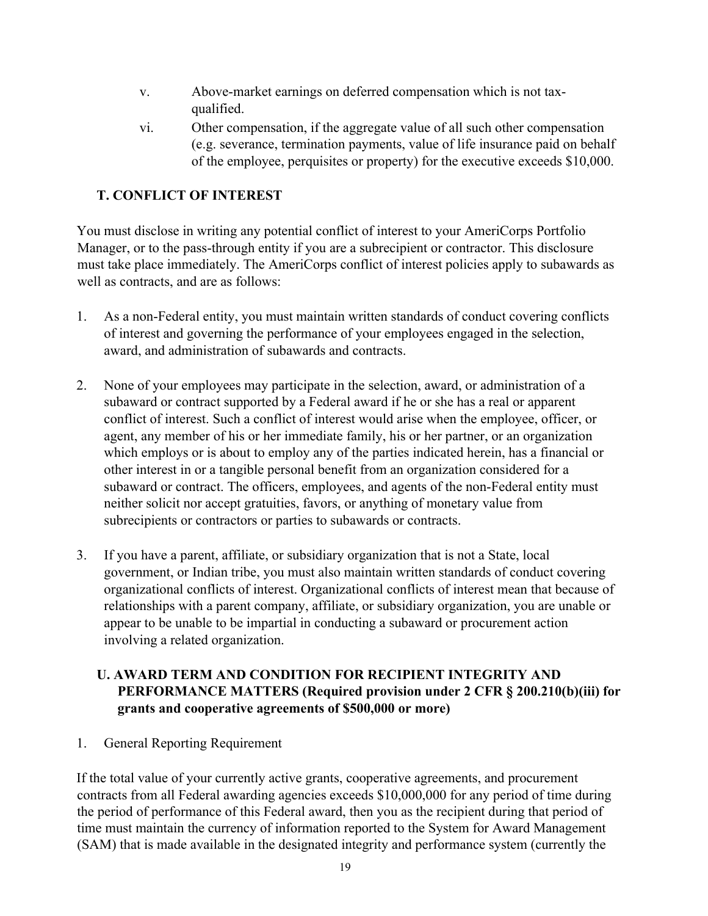- v. Above-market earnings on deferred compensation which is not taxqualified.
- vi. Other compensation, if the aggregate value of all such other compensation (e.g. severance, termination payments, value of life insurance paid on behalf of the employee, perquisites or property) for the executive exceeds \$10,000.

## **T. CONFLICT OF INTEREST**

You must disclose in writing any potential conflict of interest to your AmeriCorps Portfolio Manager, or to the pass-through entity if you are a subrecipient or contractor. This disclosure must take place immediately. The AmeriCorps conflict of interest policies apply to subawards as well as contracts, and are as follows:

- 1. As a non-Federal entity, you must maintain written standards of conduct covering conflicts of interest and governing the performance of your employees engaged in the selection, award, and administration of subawards and contracts.
- 2. None of your employees may participate in the selection, award, or administration of a subaward or contract supported by a Federal award if he or she has a real or apparent conflict of interest. Such a conflict of interest would arise when the employee, officer, or agent, any member of his or her immediate family, his or her partner, or an organization which employs or is about to employ any of the parties indicated herein, has a financial or other interest in or a tangible personal benefit from an organization considered for a subaward or contract. The officers, employees, and agents of the non-Federal entity must neither solicit nor accept gratuities, favors, or anything of monetary value from subrecipients or contractors or parties to subawards or contracts.
- 3. If you have a parent, affiliate, or subsidiary organization that is not a State, local government, or Indian tribe, you must also maintain written standards of conduct covering organizational conflicts of interest. Organizational conflicts of interest mean that because of relationships with a parent company, affiliate, or subsidiary organization, you are unable or appear to be unable to be impartial in conducting a subaward or procurement action involving a related organization.

## **U. AWARD TERM AND CONDITION FOR RECIPIENT INTEGRITY AND PERFORMANCE MATTERS (Required provision under 2 CFR § 200.210(b)(iii) for grants and cooperative agreements of \$500,000 or more)**

### 1. General Reporting Requirement

If the total value of your currently active grants, cooperative agreements, and procurement contracts from all Federal awarding agencies exceeds \$10,000,000 for any period of time during the period of performance of this Federal award, then you as the recipient during that period of time must maintain the currency of information reported to the System for Award Management (SAM) that is made available in the designated integrity and performance system (currently the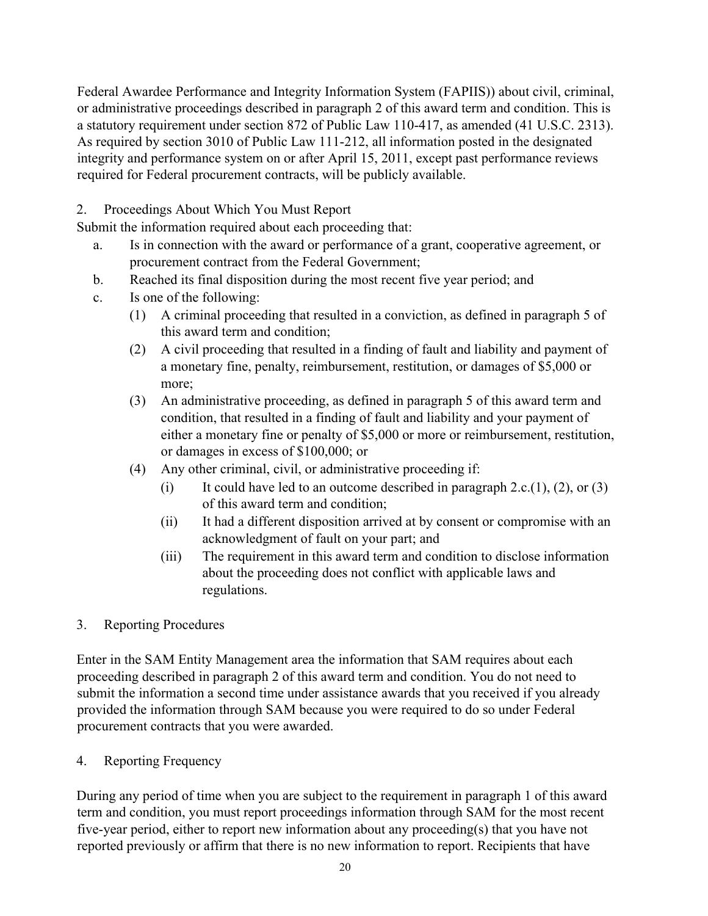Federal Awardee Performance and Integrity Information System (FAPIIS)) about civil, criminal, or administrative proceedings described in paragraph 2 of this award term and condition. This is a statutory requirement under section 872 of Public Law 110-417, as amended (41 U.S.C. 2313). As required by section 3010 of Public Law 111-212, all information posted in the designated integrity and performance system on or after April 15, 2011, except past performance reviews required for Federal procurement contracts, will be publicly available.

## 2. Proceedings About Which You Must Report

Submit the information required about each proceeding that:

- a. Is in connection with the award or performance of a grant, cooperative agreement, or procurement contract from the Federal Government;
- b. Reached its final disposition during the most recent five year period; and
- c. Is one of the following:
	- (1) A criminal proceeding that resulted in a conviction, as defined in paragraph 5 of this award term and condition;
	- (2) A civil proceeding that resulted in a finding of fault and liability and payment of a monetary fine, penalty, reimbursement, restitution, or damages of \$5,000 or more;
	- (3) An administrative proceeding, as defined in paragraph 5 of this award term and condition, that resulted in a finding of fault and liability and your payment of either a monetary fine or penalty of \$5,000 or more or reimbursement, restitution, or damages in excess of \$100,000; or
	- (4) Any other criminal, civil, or administrative proceeding if:
		- (i) It could have led to an outcome described in paragraph 2.c.(1), (2), or (3) of this award term and condition;
		- (ii) It had a different disposition arrived at by consent or compromise with an acknowledgment of fault on your part; and
		- (iii) The requirement in this award term and condition to disclose information about the proceeding does not conflict with applicable laws and regulations.

### 3. Reporting Procedures

Enter in the SAM Entity Management area the information that SAM requires about each proceeding described in paragraph 2 of this award term and condition. You do not need to submit the information a second time under assistance awards that you received if you already provided the information through SAM because you were required to do so under Federal procurement contracts that you were awarded.

### 4. Reporting Frequency

During any period of time when you are subject to the requirement in paragraph 1 of this award term and condition, you must report proceedings information through SAM for the most recent five-year period, either to report new information about any proceeding(s) that you have not reported previously or affirm that there is no new information to report. Recipients that have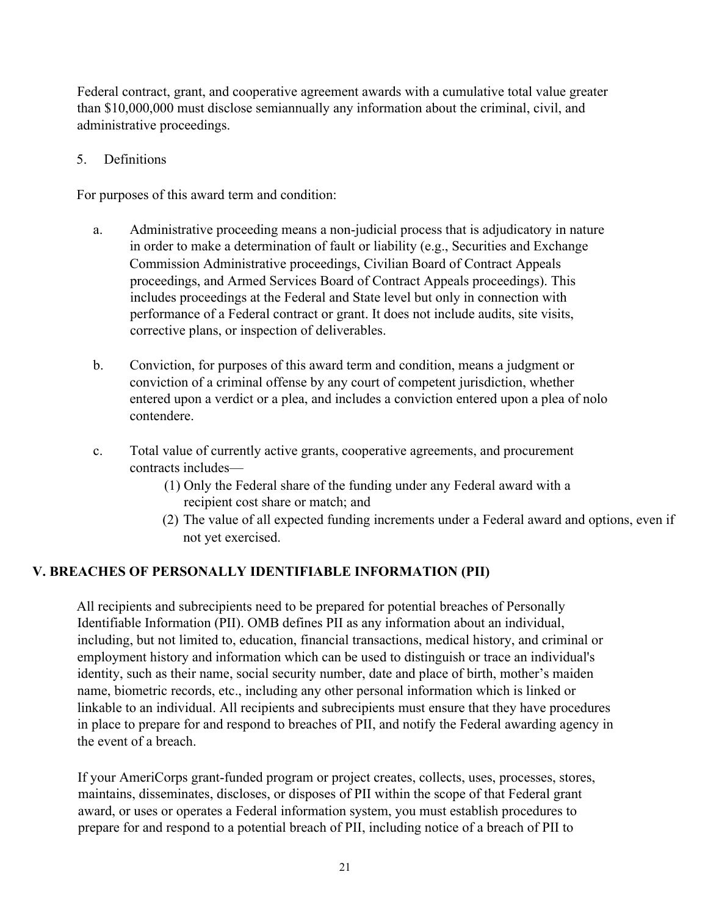Federal contract, grant, and cooperative agreement awards with a cumulative total value greater than \$10,000,000 must disclose semiannually any information about the criminal, civil, and administrative proceedings.

5. Definitions

For purposes of this award term and condition:

- a. Administrative proceeding means a non-judicial process that is adjudicatory in nature in order to make a determination of fault or liability (e.g., Securities and Exchange Commission Administrative proceedings, Civilian Board of Contract Appeals proceedings, and Armed Services Board of Contract Appeals proceedings). This includes proceedings at the Federal and State level but only in connection with performance of a Federal contract or grant. It does not include audits, site visits, corrective plans, or inspection of deliverables.
- b. Conviction, for purposes of this award term and condition, means a judgment or conviction of a criminal offense by any court of competent jurisdiction, whether entered upon a verdict or a plea, and includes a conviction entered upon a plea of nolo contendere.
- c. Total value of currently active grants, cooperative agreements, and procurement contracts includes—
	- (1) Only the Federal share of the funding under any Federal award with a recipient cost share or match; and
	- (2) The value of all expected funding increments under a Federal award and options, even if not yet exercised.

### **V. BREACHES OF PERSONALLY IDENTIFIABLE INFORMATION (PII)**

All recipients and subrecipients need to be prepared for potential breaches of Personally Identifiable Information (PII). OMB defines PII as any information about an individual, including, but not limited to, education, financial transactions, medical history, and criminal or employment history and information which can be used to distinguish or trace an individual's identity, such as their name, social security number, date and place of birth, mother's maiden name, biometric records, etc., including any other personal information which is linked or linkable to an individual. All recipients and subrecipients must ensure that they have procedures in place to prepare for and respond to breaches of PII, and notify the Federal awarding agency in the event of a breach.

If your AmeriCorps grant-funded program or project creates, collects, uses, processes, stores, maintains, disseminates, discloses, or disposes of PII within the scope of that Federal grant award, or uses or operates a Federal information system, you must establish procedures to prepare for and respond to a potential breach of PII, including notice of a breach of PII to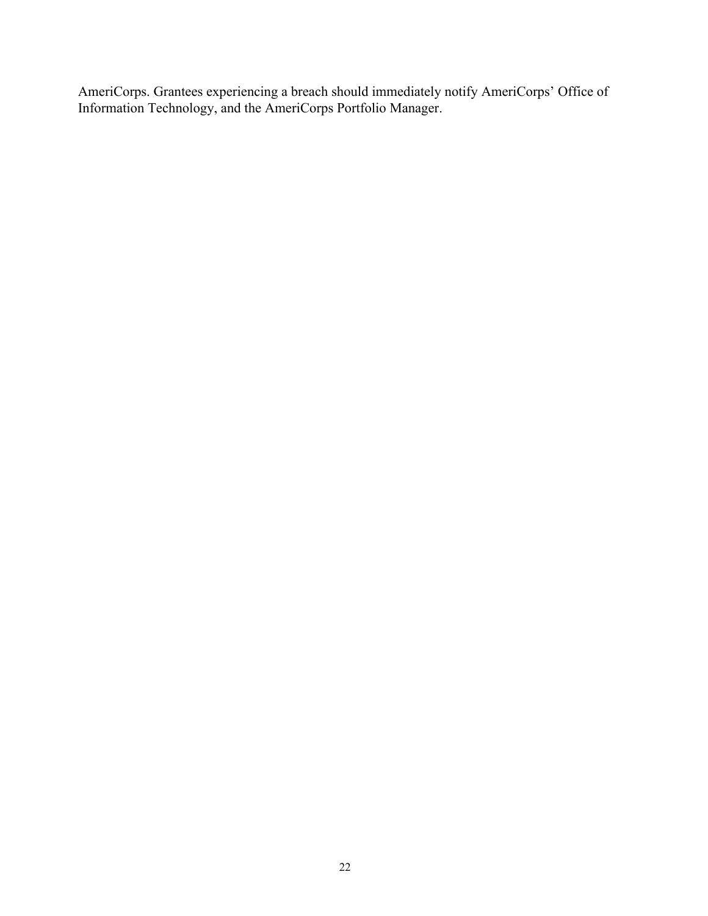AmeriCorps. Grantees experiencing a breach should immediately notify AmeriCorps' Office of Information Technology, and the AmeriCorps Portfolio Manager.